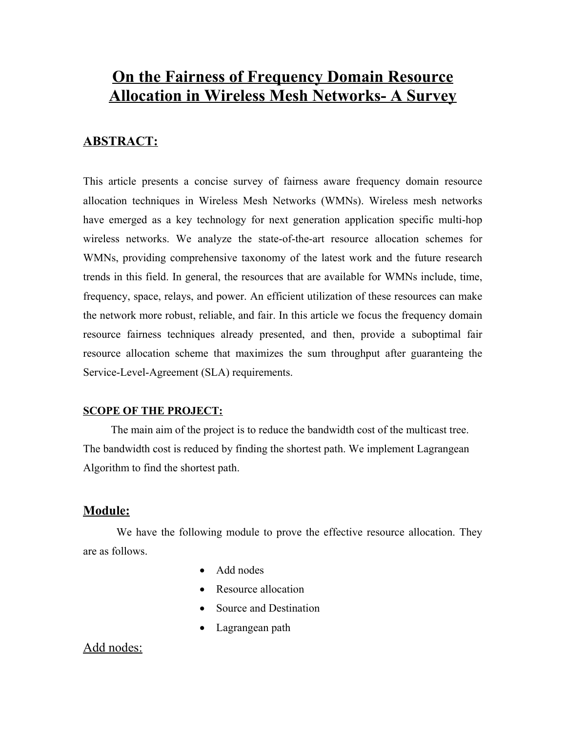# **On the Fairness of Frequency Domain Resource Allocation in Wireless Mesh Networks- A Survey**

# **ABSTRACT:**

This article presents a concise survey of fairness aware frequency domain resource allocation techniques in Wireless Mesh Networks (WMNs). Wireless mesh networks have emerged as a key technology for next generation application specific multi-hop wireless networks. We analyze the state-of-the-art resource allocation schemes for WMNs, providing comprehensive taxonomy of the latest work and the future research trends in this field. In general, the resources that are available for WMNs include, time, frequency, space, relays, and power. An efficient utilization of these resources can make the network more robust, reliable, and fair. In this article we focus the frequency domain resource fairness techniques already presented, and then, provide a suboptimal fair resource allocation scheme that maximizes the sum throughput after guaranteing the Service-Level-Agreement (SLA) requirements.

### **SCOPE OF THE PROJECT:**

The main aim of the project is to reduce the bandwidth cost of the multicast tree. The bandwidth cost is reduced by finding the shortest path. We implement Lagrangean Algorithm to find the shortest path.

### **Module:**

We have the following module to prove the effective resource allocation. They are as follows.

- Add nodes
- Resource allocation
- Source and Destination
- Lagrangean path

# Add nodes: